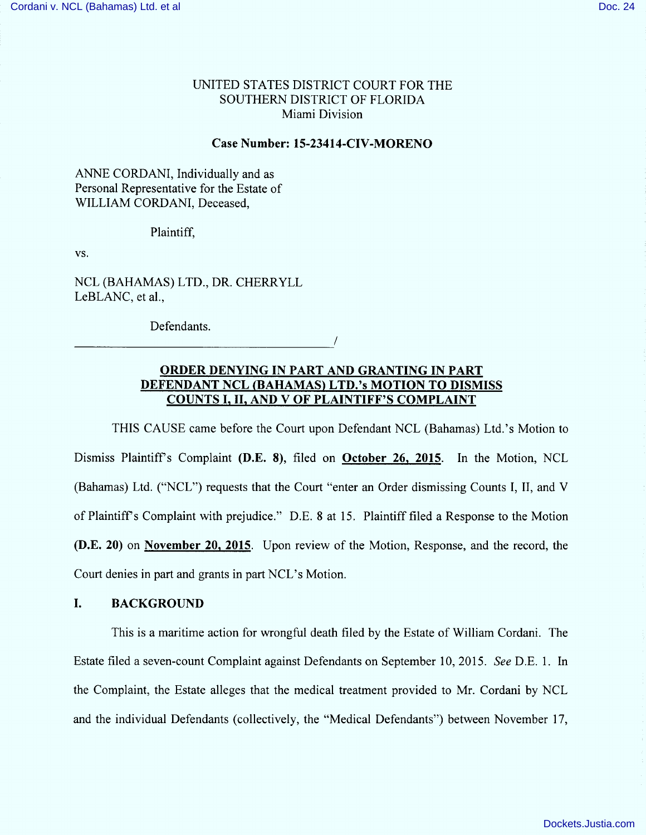# UNITED STATES DISTRICT COURT FOR THE SOUTHERN DISTRICT OF FLORIDA Miami Division

#### Case Number: 15-23414-CIV-MORENO

## ANNE CORDANI, Individually and as Personal Representative for the Estate of WILLIAM CORDANI, Deceased,

#### Plaintiff,

VS.

NCL (BAHAMAS) LTD., DR. CHERRYLL LeBLANC, et al.,

Defendants.

# ORDER DENYING IN PART AND GRANTING IN PART DEFENDANT NCL (BAHAMAS) LTD.'s MOTION TO DISMISS COUNTS I, II, AND V OF PLAINTIFF'S COMPLAINT

/

THIS CAUSE came before the Court upon Defendant NCL (Bahamas) Ltd.'s Motion to Dismiss Plaintiff's Complaint (D.E. 8), filed on October 26, 2015. In the Motion, NCL (Bahamas) Ltd. ("NCL") requests that the Court "enter an Order dismissing Counts I, II, and V of Plaintiff's Complaint with prejudice." D.E. 8 at 15. Plaintiff filed a Response to the Motion (D.E. 20) on November 20, 2015. Upon review of the Motion, Response, and the record, the Court denies in part and grants in part NCL's Motion.

## 1. BACKGROUND

This is a maritime action for wrongful death filed by the Estate of William Cordani. The Estate filed a seven-count Complaint against Defendants on September 10, 2015. See D.E. 1. In the Complaint, the Estate alleges that the medical treatment provided to Mr. Cordani by NCL and the individual Defendants (collectively, the "Medical Defendants") between November 17,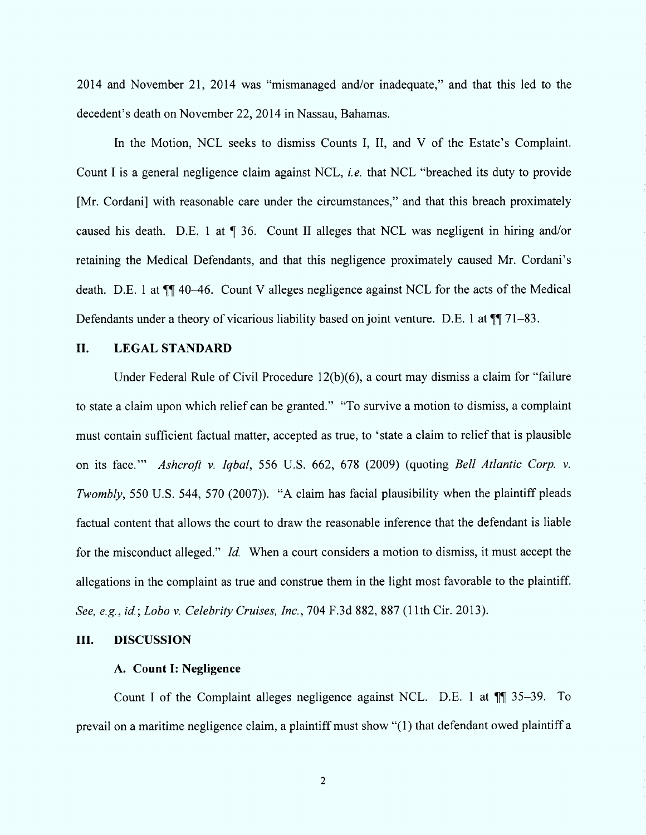$2014$  and November 21, 2014 was "mismanaged and/or inadequate," and that this led to the decedent's death on November 22, 2014 in Nassau, Bahamas.

In the Motion, NCL seeks to dismiss Counts I, II, and V of the Estate's Complaint. Count I is a general negligence claim against NCL, *i.e.* that NCL "breached its duty to provide [Mr. Cordani] with reasonable care under the circumstances," and that this breach proximately caused his death. D.E. 1 at  $\P$  36. Count II alleges that NCL was negligent in hiring and/or retaining the Medical Defendants, and that this negligence proximately caused Mr. Cordani's death. D.E. 1 at  $\P$  40-46. Count V alleges negligence against NCL for the acts of the Medical Defendants under a theory of vicarious liability based on joint venture. D.E. 1 at  $\P$  71-83.

## II. LEGAL STANDARD

Under Federal Rule of Civil Procedure  $12(b)(6)$ , a court may dismiss a claim for "failure" to state a claim upon which relief can be granted." "To survive a motion to dismiss, a complaint must contain sufficient factual matter, accepted as true, to 'state a claim to relief that is plausible on its face." Ashcroft v. Iqbal, 556 U.S. 662, 678 (2009) (quoting Bell Atlantic Corp. v. Twombly, 550 U.S. 544, 570 (2007)). "A claim has facial plausibility when the plaintiff pleads factual content that allows the court to draw the reasonable inference that the defendant is liable for the misconduct alleged." Id. When a court considers a motion to dismiss, it must accept the allegations in the complaint as true and construe them in the light m ost favorable to the plaintiff. See, e.g., id.; Lobo v. Celebrity Cruises, Inc., 704 F.3d 882, 887 (11th Cir. 2013).

### III. DISCUSSION

#### A. Count I: Negligence

Count I of the Complaint alleges negligence against NCL. D.E. 1 at  $\P$  35-39. To prevail on a maritime negligence claim, a plaintiff must show "(1) that defendant owed plaintiff a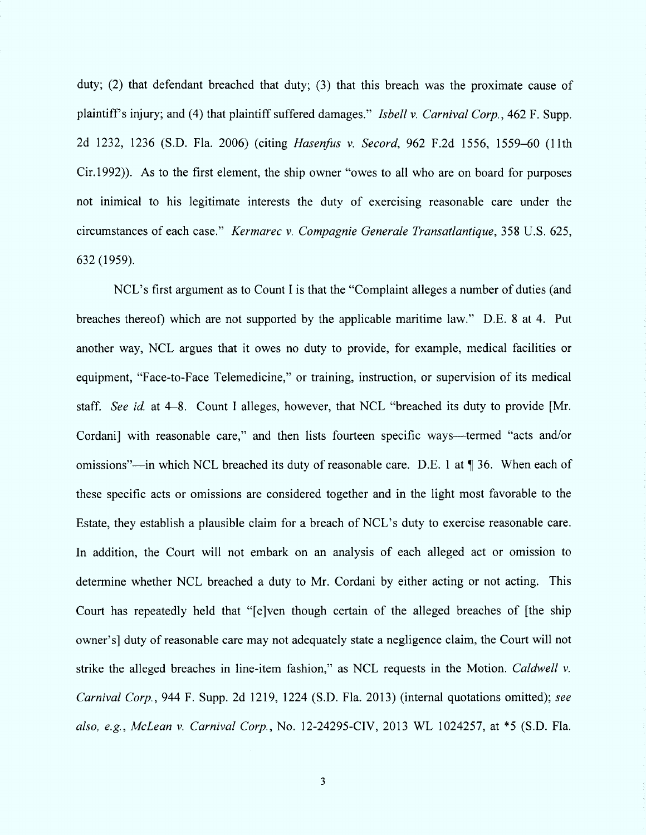duty; (2) that defendant breached that duty; (3) that this breach was the proximate cause of plaintiff's injury; and (4) that plaintiff suffered damages." Isbell v. Carnival Corp., 462 F. Supp. 2d 1232, 1236 (S.D. Fla. 2006) (citing Hasenfus v. Secord, 962 F.2d 1556, 1559-60 (11th Cir. 1992)). As to the first element, the ship owner "owes to all who are on board for purposes not inimical to his legitimate interests the duty of exercising reasonable care under the circumstances of each case.'' Kermarec v. Compagnie Generale Transatlantique, 358 U.S. 625, 632 (1959).

NCL's first argument as to Count I is that the "Complaint alleges a number of duties (and breaches thereof) which are not supported by the applicable maritime law." D.E. 8 at 4. Put another way, NCL argues that it owes no duty to provide, for example, medical facilities or equipment, "Face-to-Face Telemedicine," or training, instruction, or supervision of its medical staff. See id. at 4-8. Count I alleges, however, that NCL "breached its duty to provide [Mr. Cordani) with reasonable care," and then lists fourteen specific ways—termed "acts and/or omissions"—in which NCL breached its duty of reasonable care. D.E. 1 at  $\P$  36. When each of these specific acts or omissions are considered together and in the light most favorable to the Estate, they establish a plausible claim for a breach of NCL's duty to exercise reasonable care. In addition, the Court will not embark on an analysis of each alleged act or omission to determine whether NCL breached a duty to Mr. Cordani by either acting or not acting. This Court has repeatedly held that "[e]ven though certain of the alleged breaches of [the ship owner'sj duty of reasonable care may not adequately state a negligence claim, the Court will not strike the alleged breaches in line-item fashion," as NCL requests in the Motion. Caldwell  $\nu$ . Carnival Corp. , 944 F. Supp. 2d 1219, 1224 (S.D. Fla. 2013) (internal quotations omitted); see also, e.g., McLean v. Carnival Corp., No. 12-24295-CIV, 2013 WL 1024257, at \*5 (S.D. Fla.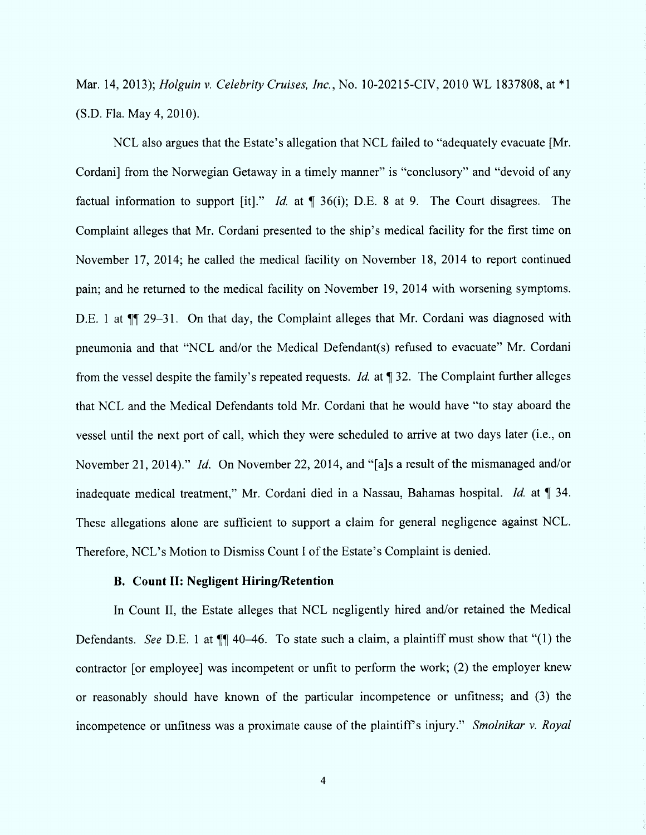Mar. 14, 2013); Holguin v. Celebrity Cruises, Inc., No. 10-20215-CIV, 2010 WL 1837808, at \*1 (S.D. Fla. May 4, 2010).

NCL also argues that the Estate's allegation that NCL failed to "adequately evacuate [Mr. Cordani) from the Norwegian Getaway in a timely manner" is "conclusory" and "devoid of any factual information to support [it]." *Id.* at  $\P$  36(i); D.E. 8 at 9. The Court disagrees. The Complaint alleges that Mr. Cordani presented to the ship's medical facility for the first time on November 17, 2014; he called the medical facility on November 18, 2014 to report continued pain; and he returned to the medical facility on November 19, 2014 with worsening symptoms. D.E. 1 at  $\P$  29–31. On that day, the Complaint alleges that Mr. Cordani was diagnosed with pneumonia and that "NCL and/or the Medical Defendant(s) refused to evacuate" Mr. Cordani from the vessel despite the family's repeated requests. *Id.* at  $\P$  32. The Complaint further alleges that NCL and the Medical Defendants told Mr. Cordani that he would have "to stay aboard the vessel until the next port of call, which they were scheduled to arrive at two days later (i.e., on November 21, 2014)." *Id.* On November 22, 2014, and "[a]s a result of the mismanaged and/or inadequate medical treatment," Mr. Cordani died in a Nassau, Bahamas hospital. *Id.* at  $\llbracket$  34. These allegations alone are sufficient to support a claim for general negligence against NCL. Therefore, NCL's Motion to Dismiss Count I of the Estate's Complaint is denied.

## B. Count II: Negligent Hiring/Retention

In Count II, the Estate alleges that NCL negligently hired and/or retained the Medical Defendants. See D.E. 1 at  $\P$  40-46. To state such a claim, a plaintiff must show that "(1) the contractor [or employee] was incompetent or unfit to perform the work; (2) the employer knew or reasonably should have known of the particular incompetence or unfitness; and (3) the incompetence or unfitness was a proximate cause of the plaintiff's injury." Smolnikar v. Royal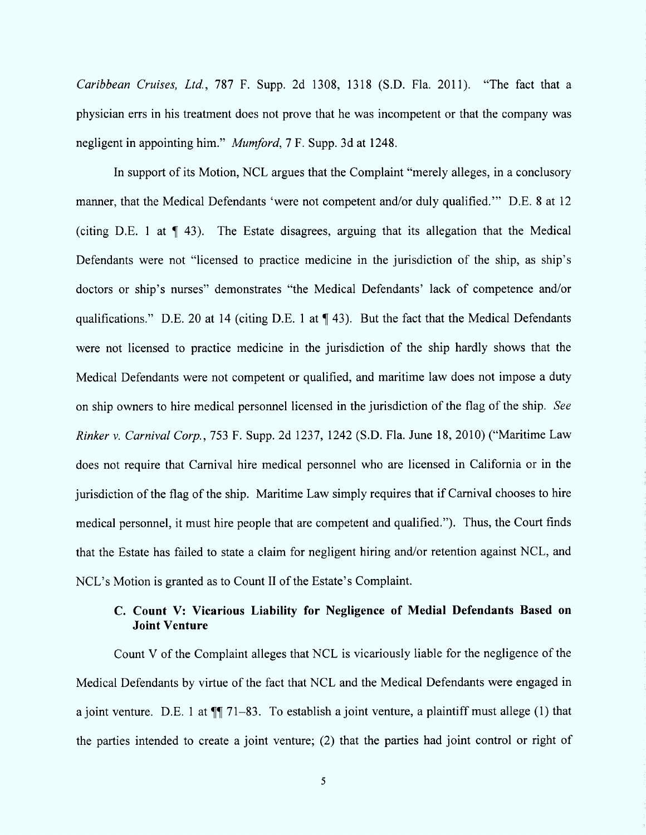Caribbean Cruises, Ltd., 787 F. Supp. 2d 1308, 1318 (S.D. Fla. 2011). "The fact that a physician errs in his treatment does not prove that he was incompetent or that the company was negligent in appointing him." *Mumford*, 7 F. Supp. 3d at 1248.

In support of its Motion, NCL argues that the Complaint "merely alleges, in a conclusory manner, that the Medical Defendants 'were not competent and/or duly qualified.'" D.E. 8 at 12 (citing D.E. 1 at  $\P$  43). The Estate disagrees, arguing that its allegation that the Medical Defendants were not "licensed to practice medicine in the jurisdiction of the ship, as ship's doctors or ship's nurses" demonstrates "the Medical Defendants' lack of competence and/or qualifications." D.E. 20 at 14 (citing D.E. 1 at  $\P$  43). But the fact that the Medical Defendants were not licensed to practice medicine in the jurisdiction of the ship hardly shows that the Medical Defendants were not competent or qualified, and maritime law does not impose a duty on ship owners to hire medical personnel licensed in the jurisdiction of the flag of the ship. See Rinker v. Carnival Corp., 753 F. Supp. 2d 1237, 1242 (S.D. Fla. June 18, 2010) ("Maritime Law does not require that Carnival hire medical personnel who are licensed in California or in the jurisdiction of the flag of the ship. Maritime Law simply requires that if Carnival chooses to hire medical personnel, it must hire people that are competent and qualitied.''). Thus, the Court tinds that the Estate has failed to state a claim for negligent hiring and/or retention against NCL, and NCL's Motion is granted as to Count II of the Estate's Complaint.

# C. Count V: Vicarious Liability for Negligence of Medial Defendants Based on Joint Venture

Count V of the Complaint alleges that NCL is vicariously liable for the negligence of the Medical Defendants by virtue of the fact that NCL and the Medical Defendants were engaged in a joint venture. D.E. 1 at  $\P$  71-83. To establish a joint venture, a plaintiff must allege (1) that the parties intended to create a joint venture; (2) that the parties had joint control or right of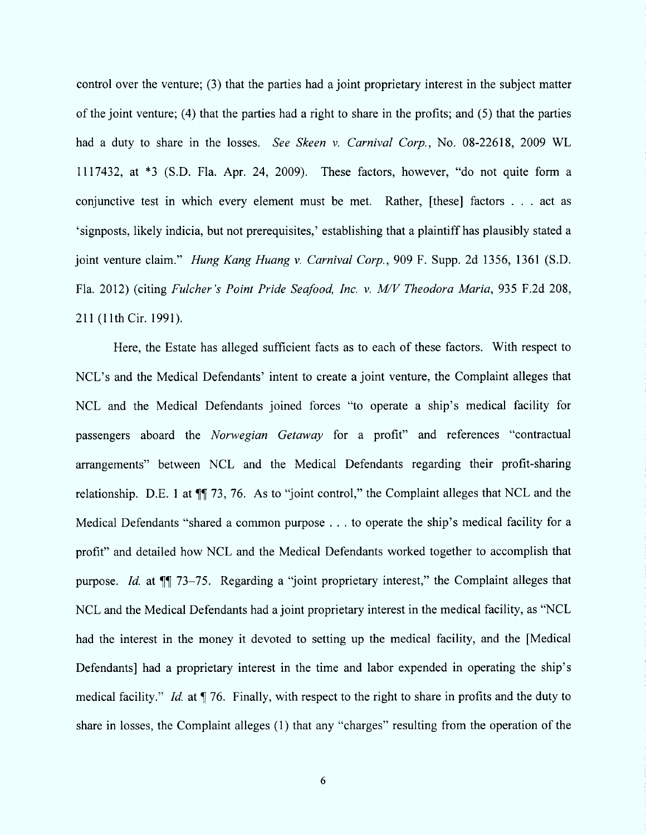control over the venture; (3) that the parties had a joint proprietary interest in the subject matler of the joint venture; (4) that the parties had a right to share in the profits; and  $(5)$  that the parties had a duty to share in the losses. See Skeen v. Carnival Corp., No. 08-22618, 2009 WL 1117432, at  $*3$  (S.D. Fla. Apr. 24, 2009). These factors, however, "do not quite form a conjunctive test in which every element must be met. Rather, [these] factors  $\dots$  act as 'signposts, likely indicia, but not prerequisites,' establishing that a plaintiff has plausibly stated a joint venture claim." Hung Kang Huang v. Carnival Corp., 909 F. Supp. 2d 1356, 1361 (S.D. Fla. 2012) (citing Fulcher's Point Pride Seafood, Inc. v. M/V Theodora Maria, 935 F.2d 208, 211 (11th Cir. 1991).

Here, the Estate has alleged sufficient facts as to each of these factors. With respect to NCL's and the Medical Defendants' intent to create a joint venture, the Complaint alleges that NCL and the Medical Defendants joined forces "to operate a ship's medical facility for passengers aboard the Norwegian Getaway for a profit" and references "contractual arrangements" between NCL and the Medical Defendants regarding their profit-sharing relationship. D.E. 1 at  $\P$  73, 76. As to "joint control," the Complaint alleges that NCL and the Medical Defendants "shared a common purpose . . . to operate the ship's medical facility for a profit" and detailed how NCL and the Medical Defendants worked together to accomplish that purpose. Id. at  $\P$  73-75. Regarding a "joint proprietary interest," the Complaint alleges that NCL and the Medical Defendants had a joint proprietary interest in the medical facility, as "NCL had the interest in the money it devoted to setting up the medical facility, and the [Medical Defendants] had a proprietary interest in the time and labor expended in operating the ship's medical facility." Id. at  $\P$  76. Finally, with respect to the right to share in profits and the duty to share in losses, the Complaint alleges (1) that any "charges" resulting from the operation of the